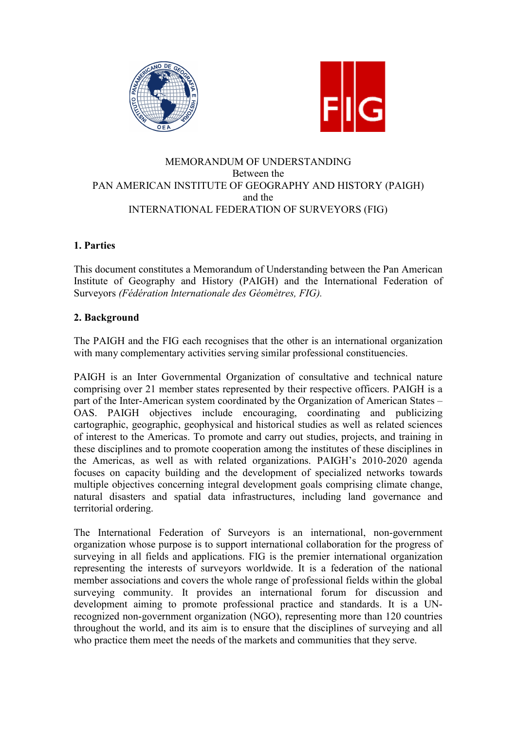



# MEMORANDUM OF UNDERSTANDING Between the PAN AMERICAN INSTITUTE OF GEOGRAPHY AND HISTORY (PAIGH) and the INTERNATIONAL FEDERATION OF SURVEYORS (FIG)

# **1. Parties**

This document constitutes a Memorandum of Understanding between the Pan American Institute of Geography and History (PAIGH) and the International Federation of Surveyors *(Fédération lnternationale des Géomètres, FIG).* 

# **2. Background**

The PAIGH and the FIG each recognises that the other is an international organization with many complementary activities serving similar professional constituencies.

PAIGH is an Inter Governmental Organization of consultative and technical nature comprising over 21 member states represented by their respective officers. PAIGH is a part of the Inter-American system coordinated by the Organization of American States – OAS. PAIGH objectives include encouraging, coordinating and publicizing cartographic, geographic, geophysical and historical studies as well as related sciences of interest to the Americas. To promote and carry out studies, projects, and training in these disciplines and to promote cooperation among the institutes of these disciplines in the Americas, as well as with related organizations. PAIGH's 2010-2020 agenda focuses on capacity building and the development of specialized networks towards multiple objectives concerning integral development goals comprising climate change, natural disasters and spatial data infrastructures, including land governance and territorial ordering.

The International Federation of Surveyors is an international, non-government organization whose purpose is to support international collaboration for the progress of surveying in all fields and applications. FIG is the premier international organization representing the interests of surveyors worldwide. It is a federation of the national member associations and covers the whole range of professional fields within the global surveying community. It provides an international forum for discussion and development aiming to promote professional practice and standards. It is a UNrecognized non-government organization (NGO), representing more than 120 countries throughout the world, and its aim is to ensure that the disciplines of surveying and all who practice them meet the needs of the markets and communities that they serve.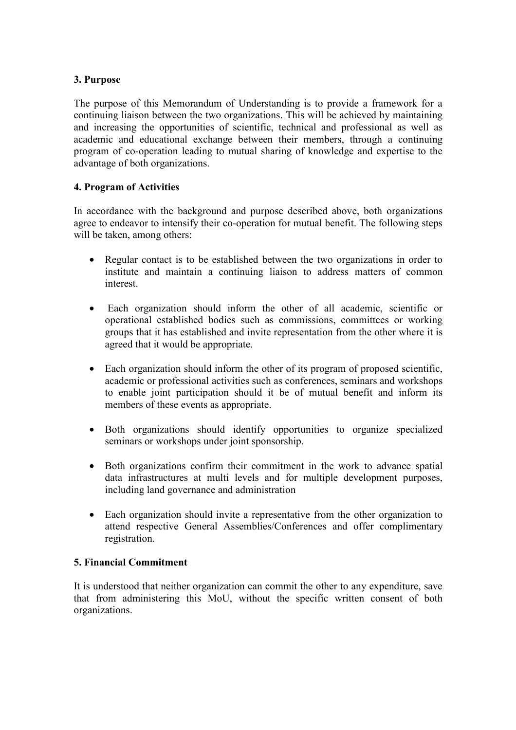### **3. Purpose**

The purpose of this Memorandum of Understanding is to provide a framework for a continuing liaison between the two organizations. This will be achieved by maintaining and increasing the opportunities of scientific, technical and professional as well as academic and educational exchange between their members, through a continuing program of co-operation leading to mutual sharing of knowledge and expertise to the advantage of both organizations.

#### **4. Program of Activities**

In accordance with the background and purpose described above, both organizations agree to endeavor to intensify their co-operation for mutual benefit. The following steps will be taken, among others:

- Regular contact is to be established between the two organizations in order to institute and maintain a continuing liaison to address matters of common interest.
- Each organization should inform the other of all academic, scientific or operational established bodies such as commissions, committees or working groups that it has established and invite representation from the other where it is agreed that it would be appropriate.
- Each organization should inform the other of its program of proposed scientific, academic or professional activities such as conferences, seminars and workshops to enable joint participation should it be of mutual benefit and inform its members of these events as appropriate.
- Both organizations should identify opportunities to organize specialized seminars or workshops under joint sponsorship.
- Both organizations confirm their commitment in the work to advance spatial data infrastructures at multi levels and for multiple development purposes, including land governance and administration
- Each organization should invite a representative from the other organization to attend respective General Assemblies/Conferences and offer complimentary registration.

#### **5. Financial Commitment**

It is understood that neither organization can commit the other to any expenditure, save that from administering this MoU, without the specific written consent of both organizations.